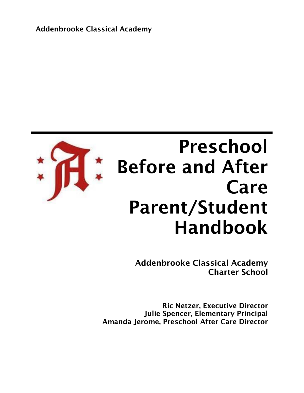Addenbrooke Classical Academy



# Preschool Before and After Care Parent/Student Handbook

Addenbrooke Classical Academy Charter School

Ric Netzer, Executive Director Julie Spencer, Elementary Principal Amanda Jerome, Preschool After Care Director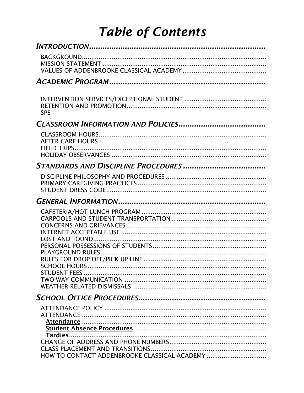## **Table of Contents**

| HOW TO CONTACT ADDENBROOKE CLASSICAL ACADEMY |
|----------------------------------------------|
|                                              |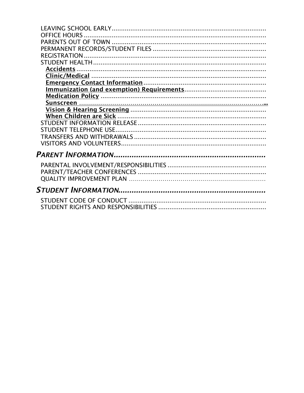| <b>OFFICE HOURS</b> |
|---------------------|
|                     |
|                     |
|                     |
|                     |
| Accidents.          |
|                     |
|                     |
|                     |
|                     |
|                     |
|                     |
|                     |
|                     |
|                     |
|                     |
|                     |
|                     |
|                     |
|                     |
|                     |
|                     |
|                     |
|                     |
|                     |
|                     |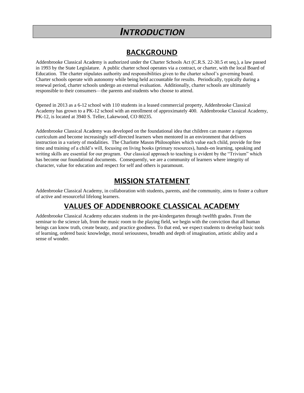## *INTRODUCTION*

## BACKGROUND

Addenbrooke Classical Academy is authorized under the Charter Schools Act (C.R.S. 22-30.5 et seq.), a law passed in 1993 by the State Legislature. A public charter school operates via a contract, or charter, with the local Board of Education. The charter stipulates authority and responsibilities given to the charter school's governing board. Charter schools operate with autonomy while being held accountable for results. Periodically, typically during a renewal period, charter schools undergo an external evaluation. Additionally, charter schools are ultimately responsible to their consumers—the parents and students who choose to attend.

Opened in 2013 as a 6-12 school with 110 students in a leased commercial property, Addenbrooke Classical Academy has grown to a PK-12 school with an enrollment of approximately 400. Addenbrooke Classical Academy, PK-12, is located at 3940 S. Teller, Lakewood, CO 80235.

Addenbrooke Classical Academy was developed on the foundational idea that children can master a rigorous curriculum and become increasingly self-directed learners when mentored in an environment that delivers instruction in a variety of modalities. The Charlotte Mason Philosophies which value each child, provide for free time and training of a child's will, focusing on living books (primary resources), hands-on learning, speaking and writing skills are essential for our program. Our classical approach to teaching is evident by the "Trivium" which has become our foundational documents. Consequently, we are a community of learners where integrity of character, value for education and respect for self and others is paramount.

### MISSION STATEMENT

Addenbrooke Classical Academy, in collaboration with students, parents, and the community, aims to foster a culture of active and resourceful lifelong learners.

## VALUES OF ADDENBROOKE CLASSICAL ACADEMY

Addenbrooke Classical Academy educates students in the pre-kindergarten through twelfth grades. From the seminar to the science lab, from the music room to the playing field, we begin with the conviction that all human beings can know truth, create beauty, and practice goodness. To that end, we expect students to develop basic tools of learning, ordered basic knowledge, moral seriousness, breadth and depth of imagination, artistic ability and a sense of wonder.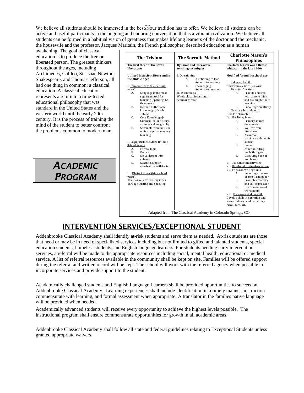We believe all students should be immersed in the best below tradition has to offer. We believe all students can be active and useful participants in the ongoing and enduring conversation that is a vibrant civilization. We believe all students can be formed in a habitual vision of greatness that makes lifelong learners of the doctor and the mechanic, the housewife and the professor. Jacques Maritain, the French philosopher, described education as a human

awakening. The goal of classical education is to produce the free or liberated person. The greatest thinkers throughout the ages, including Archimedes, Galileo, Sir Isaac Newton, Shakespeare, and Thomas Jefferson, all had one thing in common: a classical education. A classical education represents a return to a time-tested educational philosophy that was standard in the United States and the western world until the early 20th century. It is the process of training the mind of the student to better confront the problems common to modern man.

> *ACADEMIC PROGRAM*

| <b>The Trivium</b><br>The first three of the seven                                                                     | <b>The Socratic Method</b><br><b>Dynamic and interactive</b>                                                        | <b>Charlotte Mason's</b><br><b>Philosophies</b><br>Charlotte Mason was a British                                              |  |
|------------------------------------------------------------------------------------------------------------------------|---------------------------------------------------------------------------------------------------------------------|-------------------------------------------------------------------------------------------------------------------------------|--|
| liberal arts                                                                                                           | teaching techniques                                                                                                 | educator in the late 1800s                                                                                                    |  |
| Utilized in ancient Rome and in<br>the Middle Ages                                                                     | I. Questioning<br>Questioning to lead<br>А.<br>students to answers                                                  | Modified for public school use<br>I. Value each child                                                                         |  |
| I. Grammar Stage (elementary<br>years)<br>Language is the most<br>А.<br>significant tool for<br>learning (Spalding, EZ | <b>B.</b><br>Encouraging<br>students to question<br>II. Discussions<br>Whole class discussions in<br>seminar format | "Children are born persons"<br>II. Need for free time<br>Provide children<br>A.<br>with time to think<br>and assimilate their |  |
| Grammar)<br><b>B.</b><br>Defined as the basic<br>knowledge of each<br>subject                                          |                                                                                                                     | learning<br>В.<br>Encourage creativity<br>III. Train each child's will<br>Develop character                                   |  |
| C.<br>Core Knowledge®<br>Curriculum for history,<br>science and geography                                              |                                                                                                                     | IV. Use living books<br>Primary source<br>А.<br>documents                                                                     |  |
| Saxon Math curriculum<br>D.<br>which requires mastery<br>learning                                                      |                                                                                                                     | В.<br>Well-written<br>literature<br>C.<br>An author                                                                           |  |
| II. Logic/Dialectic Stage (Middle)<br>School Years)<br>Formal logic<br>А.                                              |                                                                                                                     | passionate about his<br>subject<br>D.<br><b>Books</b><br>communicating                                                        |  |
| <b>B.</b><br>Debate<br>$C_{\cdot}$<br>Delve deeper into<br>subjects                                                    |                                                                                                                     | noble thoughts<br>E.<br>Discourage use of<br>text books                                                                       |  |
| D.<br>Learn to support<br>conclusions with facts                                                                       |                                                                                                                     | V. Use hands-on activities<br>VI. Develop skills in observation<br>VII. Focus on writing skills                               |  |
| III. Rhetoric Stage (high school<br>vears)<br>Persuasively expressing ideas                                            |                                                                                                                     | Encourage the use<br>А.<br>of pencil and paper<br>Promote creativity<br><b>B.</b>                                             |  |
| through writing and speaking                                                                                           |                                                                                                                     | and self-expression<br>Discourage use of<br>C.<br>worksheets<br>VIII. Focus on speaking skill                                 |  |
|                                                                                                                        |                                                                                                                     | Develop skills in narration and<br>have students retell what they<br>read, learn, etc.                                        |  |

## INTERVENTION SERVICES/EXCEPTIONAL STUDENT

Addenbrooke Classical Academy shall identify at-risk students and serve them as needed. At-risk students are those that need or may be in need of specialized services including but not limited to gifted and talented students, special education students, homeless students, and English language learners. For students needing early interventions services, a referral will be made to the appropriate resources including social, mental health, educational or medical service. A list of referral resources available in the community shall be kept on site. Families will be offered support during the referral and written record will be kept. The school will work with the referred agency when possible to incorporate services and provide support to the student.

Academically challenged students and English Language Learners shall be provided opportunities to succeed at Addenbrooke Classical Academy. Learning experiences shall include identification in a timely manner, instruction commensurate with learning, and formal assessment when appropriate. A translator in the families native language will be provided when needed.

Academically advanced students will receive every opportunity to achieve the highest levels possible. The instructional program shall ensure commensurate opportunities for growth in all academic areas.

Addenbrooke Classical Academy shall follow all state and federal guidelines relating to Exceptional Students unless granted appropriate waivers.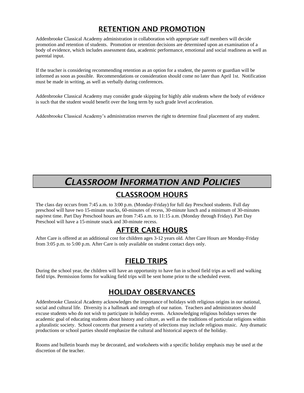## RETENTION AND PROMOTION

Addenbrooke Classical Academy administration in collaboration with appropriate staff members will decide promotion and retention of students. Promotion or retention decisions are determined upon an examination of a body of evidence, which includes assessment data, academic performance, emotional and social readiness as well as parental input.

If the teacher is considering recommending retention as an option for a student, the parents or guardian will be informed as soon as possible. Recommendations or consideration should come no later than April 1st. Notification must be made in writing, as well as verbally during conferences.

Addenbrooke Classical Academy may consider grade skipping for highly able students where the body of evidence is such that the student would benefit over the long term by such grade level acceleration.

Addenbrooke Classical Academy's administration reserves the right to determine final placement of any student.

## *CLASSROOM INFORMATION AND POLICIES*

## CLASSROOM HOURS

The class day occurs from 7:45 a.m. to 3:00 p.m. (Monday-Friday) for full day Preschool students. Full day preschool will have two 15-minute snacks, 60-minutes of recess, 30-minute lunch and a minimum of 30-minutes nap/rest time. Part Day Preschool hours are from 7:45 a.m. to 11:15 a.m. (Monday through Friday). Part Day Preschool will have a 15-minute snack and 30-minute recess.

### AFTER CARE HOURS

After Care is offered at an additional cost for children ages 3-12 years old. After Care Hours are Monday-Friday from 3:05 p.m. to 5:00 p.m. After Care is only available on student contact days only.

## FIELD TRIPS

During the school year, the children will have an opportunity to have fun in school field trips as well and walking field trips. Permission forms for walking field trips will be sent home prior to the scheduled event.

## HOLIDAY OBSERVANCES

Addenbrooke Classical Academy acknowledges the importance of holidays with religious origins in our national, social and cultural life. Diversity is a hallmark and strength of our nation. Teachers and administrators should excuse students who do not wish to participate in holiday events. Acknowledging religious holidays serves the academic goal of educating students about history and culture, as well as the traditions of particular religions within a pluralistic society. School concerts that present a variety of selections may include religious music. Any dramatic productions or school parties should emphasize the cultural and historical aspects of the holiday.

Rooms and bulletin boards may be decorated, and worksheets with a specific holiday emphasis may be used at the discretion of the teacher.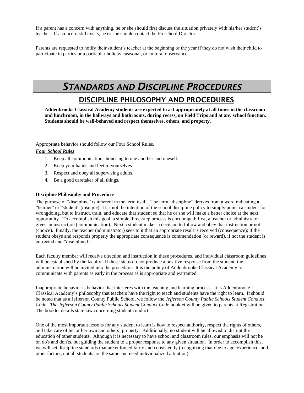If a parent has a concern with anything, he or she should first discuss the situation privately with his/her student's teacher. If a concern still exists, he or she should contact the Preschool Director.

Parents are requested to notify their student's teacher at the beginning of the year if they do not wish their child to participate in parties or a particular holiday, seasonal, or cultural observance.

## *STANDARDS AND DISCIPLINE PROCEDURES*

## DISCIPLINE PHILOSOPHY AND PROCEDURES

**Addenbrooke Classical Academy students are expected to act appropriately at all times in the classroom and lunchroom, in the hallways and bathrooms, during recess, on Field Trips and at any school function. Students should be well-behaved and respect themselves, others, and property.**

Appropriate behavior should follow our Four School Rules.

### *Four School Rules*

- 1. Keep all communications honoring to one another and oneself.
- 2. Keep your hands and feet to yourselves.
- 3. Respect and obey all supervising adults.
- 4. Be a good caretaker of all things.

### **Discipline Philosophy and Procedure**

The purpose of "discipline" is inherent in the term itself. The term "discipline" derives from a word indicating a "learner" or "student" (disciple). It is not the intention of the school discipline policy to simply punish a student for wrongdoing, but to instruct, train, and educate that student so that he or she will make a better choice at the next opportunity. To accomplish this goal, a simple three-step process is encouraged: first, a teacher or administrator gives an instruction (communication). Next a student makes a decision to follow and obey that instruction or not (choice). Finally, the teacher (administrator) sees to it that an appropriate result is received (consequence); if the student obeys and responds properly the appropriate consequence is commendation (or reward), if not the student is corrected and "disciplined."

Each faculty member will receive direction and instruction in these procedures, and individual classroom guidelines will be established by the faculty. If these steps do not produce a positive response from the student, the administration will be invited into the procedure. It is the policy of Addenbrooke Classical Academy to communicate with parents as early in the process as is appropriate and warranted.

Inappropriate behavior is behavior that interferes with the teaching and learning process. It is Addenbrooke Classical Academy's philosophy that teachers have the right to teach and students have the right to learn. It should be noted that as a Jefferson County Public School, we follow the *Jefferson County Public Schools Student Conduct Code. The Jefferson County Public Schools Student Conduct Code* booklet will be given to parents at Registration. The booklet details state law concerning student conduct.

One of the most important lessons for any student to learn is how to respect authority, respect the rights of others, and take care of his or her own and others' property. Additionally, no student will be allowed to disrupt the education of other students. Although it is necessary to have school and classroom rules, our emphasis will not be on do's and don'ts, but guiding the student to a proper response to any given situation. In order to accomplish this, we will set discipline standards that are enforced fairly and consistently (recognizing that due to age, experience, and other factors, not all students are the same and need individualized attention).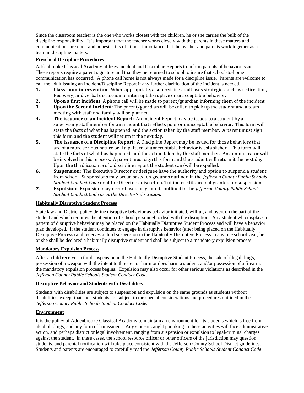Since the classroom teacher is the one who works closest with the children, he or she carries the bulk of the discipline responsibility. It is important that the teacher works closely with the parents in these matters and communications are open and honest. It is of utmost importance that the teacher and parents work together as a team in discipline matters.

### **Preschool Discipline Procedures**

Addenbrooke Classical Academy utilizes Incident and Discipline Reports to inform parents of behavior issues. These reports require a parent signature and that they be returned to school to insure that school-to-home communication has occurred. A phone call home is not always made for a discipline issue. Parents are welcome to call the adult issuing an Incident/Discipline Report if any further clarification of the incident is needed.

- **1. Classroom intervention:** When appropriate, a supervising adult uses strategies such as redirection, Recovery, and verbal discussion to interrupt disruptive or unacceptable behavior.
- **2. Upon a first Incident**: A phone call will be made to parent/guardian informing them of the incident.
- **3. Upon the Second Incident**: The parent/guardian will be called to pick up the student and a team meeting with staff and family will be planned.
- **4. The issuance of an Incident Report:** An Incident Report may be issued to a student by a supervising staff member for an incident that reflects poor or unacceptable behavior. This form will state the facts of what has happened, and the action taken by the staff member. A parent must sign this form and the student will return it the next day.
- **5. The issuance of a Discipline Report:** A Discipline Report may be issued for those behaviors that are of a more serious nature or if a pattern of unacceptable behavior is established. This form will state the facts of what has happened, and the action taken by the staff member. An administrator will be involved in this process. A parent must sign this form and the student will return it the next day. Upon the third issuance of a discipline report the student can/will be expelled.
- **6. Suspension:** The Executive Director or designee have the authority and option to suspend a student from school. Suspensions may occur based on grounds outlined in the *Jefferson County Public Schools Student Conduct Code* or at the Directors' discretion. Tuition credits are not granted for suspension.
- *7.* **Expulsion:** Expulsion may occur based on grounds outlined in the *Jefferson County Public Schools Student Conduct Code or at the Director's discretion.*

### **Habitually Disruptive Student Process**

State law and District policy define disruptive behavior as behavior initiated, willful, and overt on the part of the student and which requires the attention of school personnel to deal with the disruption. Any student who displays a pattern of disruptive behavior may be placed on the Habitually Disruptive Student Process and will have a behavior plan developed. If the student continues to engage in disruptive behavior (after being placed on the Habitually Disruptive Process) and receives a third suspension in the Habitually Disruptive Process in any one school year, he or she shall be declared a habitually disruptive student and shall be subject to a mandatory expulsion process.

### **Mandatory Expulsion Process**

After a child receives a third suspension in the Habitually Disruptive Student Process, the sale of illegal drugs, possession of a weapon with the intent to threaten or harm or does harm a student, and/or possession of a firearm, the mandatory expulsion process begins. Expulsion may also occur for other serious violations as described in the *Jefferson County Public Schools Student Conduct Code.*

### **Disruptive Behavior and Students with Disabilities**

Students with disabilities are subject to suspension and expulsion on the same grounds as students without disabilities, except that such students are subject to the special considerations and procedures outlined in the *Jefferson County Public Schools Student Conduct Code.*

### **Environment**

It is the policy of Addenbrooke Classical Academy to maintain an environment for its students which is free from alcohol, drugs, and any form of harassment. Any student caught partaking in these activities will face administrative action, and perhaps district or legal involvement, ranging from suspension or expulsion to legal/criminal charges against the student. In these cases, the school resource officer or other officers of the jurisdiction may question students, and parental notification will take place consistent with the Jefferson County School District guidelines. Students and parents are encouraged to carefully read the *Jefferson County Public Schools Student Conduct Code*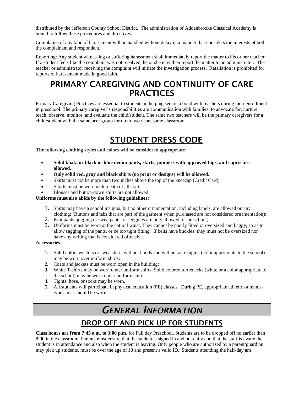distributed by the Jefferson County School District. The administration of Addenbrooke Classical Academy is bound to follow these procedures and directives.

Complaints of any kind of harassment will be handled without delay in a manner that considers the interests of both the complainant and respondent.

Reporting: Any student witnessing or suffering harassment shall immediately report the matter to his or her teacher. If a student feels like the complaint was not resolved, he or she may then report the matter to an administrator. The teacher or administrator receiving the complaint will initiate the investigation process. Retaliation is prohibited for reports of harassment made in good faith.

## PRIMARY CAREGIVING AND CONTINUITY OF CARE **PRACTICES**

Primary Caregiving Practices are essential to students in helping secure a bond with teachers during their enrollment in preschool. The primary caregiver's responsibilities are communication with families, to advocate for, nurture, teach, observe, monitor, and evaluate the child/student. The same two teachers will be the primary caregivers for a child/student with the same peer group for up to two years same classroom.

## STUDENT DRESS CODE

**The following clothing styles and colors will be considered appropriate**:

- **Solid khaki or black or blue denim pants, skirts, jumpers with approved tops, and capris are allowed.**
- **Only solid red, gray and black shirts (no print or designs) will be allowed.**
- Skirts must not be more than two inches above the top of the kneecap (Credit Card).
- Shorts must be worn underneath of all skirts.
- Blouses and button-down shirts are not allowed.

### **Uniforms must also abide by the following guidelines:**

- 1. Shirts may have a school insignia, but no other ornamentation, including labels, are allowed on any clothing; (Buttons and tabs that are part of the garment when purchased are not considered ornamentation);
- 2. Knit pants, jogging or sweatpants, or leggings are only allowed for preschool;
- 3. Uniforms must be worn at the natural waist. They cannot be poorly fitted or oversized and baggy, so as to allow sagging of the pants, or be too tight fitting. If belts have buckles, they must not be oversized nor have any writing that is considered offensive.

### **Accessories**

- **1.** Solid color sweaters or sweatshirts without hoods and without an insignia (color appropriate to the school) may be worn over uniform shirts;
- **2.** Coats and jackets must be worn open in the building;
- **3.** White T-shirts may be worn under uniform shirts. Solid colored turtlenecks (white or a color appropriate to the school) may be worn under uniform shirts;
- 4. Tights, hose, or socks may be worn.
- 5. All students will participate in physical education (PE) classes. During PE, appropriate athletic or tennistype shoes should be worn.

## *GENERAL INFORMATION*

## DROP OFF AND PICK UP FOR STUDENTS

**Class hours are from 7:45 a.m. to 3:00 p.m.** for Full day Preschool. Students are to be dropped off no earlier than 8:00 in the classroom. Parents must ensure that the student is signed in and out daily and that the staff is aware the student is in attendance and also when the student is leaving. Only people who are authorized by a parent/guardian may pick up students, must be over the age of 18 and present a valid ID. Students attending the half-day am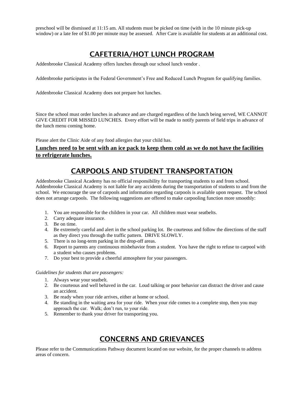preschool will be dismissed at 11:15 am. All students must be picked on time (with in the 10 minute pick-up window) or a late fee of \$1.00 per minute may be assessed. After Care is available for students at an additional cost.

## CAFETERIA/HOT LUNCH PROGRAM

Addenbrooke Classical Academy offers lunches through our school lunch vendor .

Addenbrooke participates in the Federal Government's Free and Reduced Lunch Program for qualifying families.

Addenbrooke Classical Academy does not prepare hot lunches.

Since the school must order lunches in advance and are charged regardless of the lunch being served, WE CANNOT GIVE CREDIT FOR MISSED LUNCHES. Every effort will be made to notify parents of field trips in advance of the lunch menu coming home.

Please alert the Clinic Aide of any food allergies that your child has.

### **Lunches need to be sent with an ice pack to keep them cold as we do not have the facilities to refrigerate lunches.**

## CARPOOLS AND STUDENT TRANSPORTATION

Addenbrooke Classical Academy has no official responsibility for transporting students to and from school. Addenbrooke Classical Academy is not liable for any accidents during the transportation of students to and from the school. We encourage the use of carpools and information regarding carpools is available upon request. The school does not arrange carpools. The following suggestions are offered to make carpooling function more smoothly:

- 1. You are responsible for the children in your car. All children must wear seatbelts.
- 2. Carry adequate insurance.
- 3. Be on time.
- 4. Be extremely careful and alert in the school parking lot. Be courteous and follow the directions of the staff as they direct you through the traffic pattern. DRIVE SLOWLY.
- 5. There is no long-term parking in the drop-off areas.
- 6. Report to parents any continuous misbehavior from a student. You have the right to refuse to carpool with a student who causes problems.
- 7. Do your best to provide a cheerful atmosphere for your passengers.

### *Guidelines for students that are passengers:*

- 1. Always wear your seatbelt.
- 2. Be courteous and well behaved in the car. Loud talking or poor behavior can distract the driver and cause an accident.
- 3. Be ready when your ride arrives, either at home or school.
- 4. Be standing in the waiting area for your ride. When your ride comes to a complete stop, then you may approach the car. Walk; don't run, to your ride.
- 5. Remember to thank your driver for transporting you.

## CONCERNS AND GRIEVANCES

Please refer to the Communications Pathway document located on our website, for the proper channels to address areas of concern.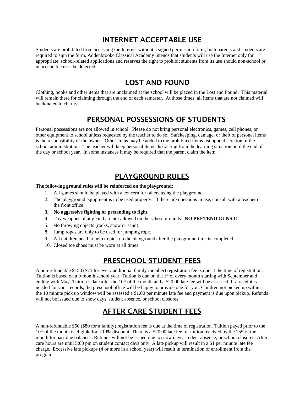## INTERNET ACCEPTABLE USE

Students are prohibited from accessing the Internet without a signed permission form; both parents and students are required to sign the form. Addenbrooke Classical Academy intends that students will use the Internet only for appropriate, school-related applications and reserves the right to prohibit students from its use should non-school or unacceptable uses be detected.

## LOST AND FOUND

Clothing, books and other items that are unclaimed at the school will be placed in the Lost and Found. This material will remain there for claiming through the end of each semester. At those times, all items that are not claimed will be donated to charity.

## PERSONAL POSSESSIONS OF STUDENTS

Personal possessions are not allowed in school. Please do not bring personal electronics, games, cell phones, or other equipment to school unless requested by the teacher to do so. Safekeeping, damage, or theft of personal items is the responsibility of the owner. Other items may be added to the prohibited Items list upon discretion of the school administration. The teacher will keep personal items distracting from the learning situation until the end of the day or school year. In some instances it may be required that the parent claim the item.

## PLAYGROUND RULES

### **The following ground rules will be reinforced on the playground:**

- 1. All games should be played with a concern for others using the playground.
- 2. The playground equipment is to be used properly. If there are questions in use, consult with a teacher or the front office.
- **3. No aggressive fighting or pretending to fight.**
- 4. Toy weapons of any kind are not allowed on the school grounds. **NO PRETEND GUNS!!!**
- 5. No throwing objects (rocks, snow or sand).
- 8. Jump ropes are only to be used for jumping rope.
- 9. All children need to help to pick up the playground after the playground time is completed.
- 10. Closed toe shoes must be worn at all times.

### PRESCHOOL STUDENT FEES

A non-refundable \$150 (\$75 for every additional family member) registration fee is due at the time of registration. Tuition is based on a 9-month school year. Tuition is due on the 1st of every month starting with September and ending with May. Tuition is late after the  $10<sup>th</sup>$  of the month and a \$20.00 late fee will be assessed. If a receipt is needed for your records, the preschool office will be happy to provide one for you. Children not picked up within the 10 minute pick up window will be assessed a \$1.00 per minute late fee and payment is due upon pickup. Refunds will not be issued due to snow days, student absence, or school closures.

## AFTER CARE STUDENT FEES

A non-refundable \$50 (\$80 for a family) registration fee is due at the time of registration. Tuition payed prior to the  $10<sup>th</sup>$  of the month is eligible for a 10% discount. There is a \$20.00 late fee for tuition received by the 25<sup>th</sup> of the month for past due balances. Refunds will not be issued due to snow days, student absence, or school closures. After care hours are until 5:00 pm on student contact days only. A late pickup will result in a \$1 per minute late fee charge. Excessive late pickups (4 or more in a school year) will result in termination of enrollment from the program.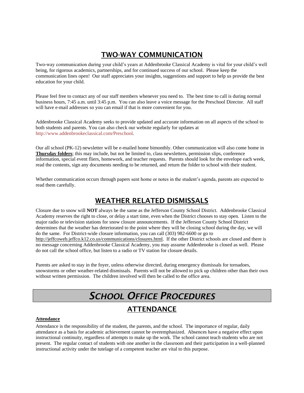## TWO-WAY COMMUNICATION

Two-way communication during your child's years at Addenbrooke Classical Academy is vital for your child's well being, for rigorous academics, partnerships, and for continued success of our school. Please keep the communication lines open! Our staff appreciates your insights, suggestions and support to help us provide the best education for your child.

Please feel free to contact any of our staff members whenever you need to. The best time to call is during normal business hours, 7:45 a.m. until 3:45 p.m. You can also leave a voice message for the Preschool Director. All staff will have e-mail addresses so you can email if that is more convenient for you.

Addenbrooke Classical Academy seeks to provide updated and accurate information on all aspects of the school to both students and parents. You can also check our website regularly for updates at <http://www.addenbrookeclassical.com/Preschool>*.*

Our all school (PK-12) newsletter will be e-mailed home bimonthly. Other communication will also come home in **Thursday folders**; this may include, but not be limited to, class newsletters, permission slips, conference information, special event fliers, homework, and teacher requests. Parents should look for the envelope each week, read the contents, sign any documents needing to be returned, and return the folder to school with their student.

Whether communication occurs through papers sent home or notes in the student's agenda, parents are expected to read them carefully.

### WEATHER RELATED DISMISSALS

Closure due to snow will **NOT** always be the same as the Jefferson County School District. Addenbrooke Classical Academy reserves the right to close, or delay a start time, even when the District chooses to stay open. Listen to the major radio or television stations for snow closure announcements. If the Jefferson County School District determines that the weather has deteriorated to the point where they will be closing school during the day, we will do the same. For District-wide closure information, you can call (303) 982-6600 or go to [http://jeffcoweb.jeffco.k12.co.us/communications/closures.html.](http://jeffcoweb.jeffco.k12.co.us/communications/closures.html) If the other District schools are closed and there is no message concerning Addenbrooke Classical Academy, you may assume Addenbrooke is closed as well.Please do not call the school office, but listen to a radio or TV station for closure details.

Parents are asked to stay in the foyer, unless otherwise directed, during emergency dismissals for tornadoes, snowstorms or other weather-related dismissals. Parents will not be allowed to pick up children other than their own without written permission.The children involved will then be called to the office area.

## *SCHOOL OFFICE PROCEDURES* ATTENDANCE

### **Attendance**

Attendance is the responsibility of the student, the parents, and the school. The importance of regular, daily attendance as a basis for academic achievement cannot be overemphasized. Absences have a negative effect upon instructional continuity, regardless of attempts to make up the work. The school cannot teach students who are not present. The regular contact of students with one another in the classroom and their participation in a well-planned instructional activity under the tutelage of a competent teacher are vital to this purpose.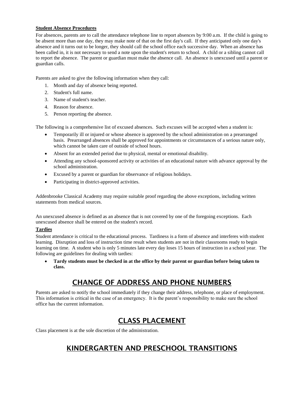### **Student Absence Procedures**

For absences, parents are to call the attendance telephone line to report absences by 9:00 a.m. If the child is going to be absent more than one day, they may make note of that on the first day's call. If they anticipated only one day's absence and it turns out to be longer, they should call the school office each successive day. When an absence has been called in, it is not necessary to send a note upon the student's return to school. A child or a sibling cannot call to report the absence. The parent or guardian must make the absence call. An absence is unexcused until a parent or guardian calls.

Parents are asked to give the following information when they call:

- 1. Month and day of absence being reported.
- 2. Student's full name.
- 3. Name of student's teacher.
- 4. Reason for absence.
- 5. Person reporting the absence.

The following is a comprehensive list of excused absences. Such excuses will be accepted when a student is:

- Temporarily ill or injured or whose absence is approved by the school administration on a prearranged basis. Prearranged absences shall be approved for appointments or circumstances of a serious nature only, which cannot be taken care of outside of school hours.
- Absent for an extended period due to physical, mental or emotional disability.
- Attending any school-sponsored activity or activities of an educational nature with advance approval by the school administration.
- Excused by a parent or guardian for observance of religious holidays.
- Participating in district-approved activities.

Addenbrooke Classical Academy may require suitable proof regarding the above exceptions, including written statements from medical sources.

An unexcused absence is defined as an absence that is not covered by one of the foregoing exceptions. Each unexcused absence shall be entered on the student's record.

### **Tardies**

Student attendance is critical to the educational process. Tardiness is a form of absence and interferes with student learning. Disruption and loss of instruction time result when students are not in their classrooms ready to begin learning on time. A student who is only 5 minutes late every day loses 15 hours of instruction in a school year. The following are guidelines for dealing with tardies:

• **Tardy students must be checked in at the office by their parent or guardian before being taken to class.**

## CHANGE OF ADDRESS AND PHONE NUMBERS

Parents are asked to notify the school immediately if they change their address, telephone, or place of employment. This information is critical in the case of an emergency. It is the parent's responsibility to make sure the school office has the current information.

## CLASS PLACEMENT

Class placement is at the sole discretion of the administration.

## KINDERGARTEN AND PRESCHOOL TRANSITIONS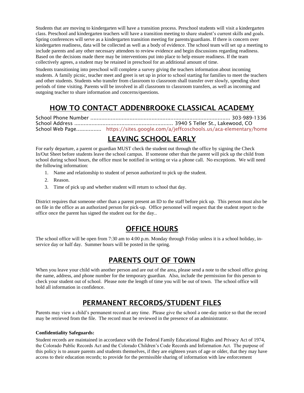Students that are moving to kindergarten will have a transition process. Preschool students will visit a kindergarten class. Preschool and kindergarten teachers will have a transition meeting to share student's current skills and goals. Spring conferences will serve as a kindergarten transition meeting for parents/guardians. If there is concern over kindergarten readiness, data will be collected as well as a body of evidence. The school team will set up a meeting to include parents and any other necessary attendees to review evidence and begin discussions regarding readiness. Based on the decisions made there may be interventions put into place to help ensure readiness. If the team collectively agrees, a student may be retained in preschool for an additional amount of time.

Students transitioning into preschool will complete a survey giving the teachers information about incoming students. A family picnic, teacher meet and greet is set up in prior to school starting for families to meet the teachers and other students. Students who transfer from classroom to classroom shall transfer over slowly, spending short periods of time visiting. Parents will be involved in all classroom to classroom transfers, as well as incoming and outgoing teacher to share information and concerns/questions.

## HOW TO CONTACT ADDENBROOKE CLASSICAL ACADEMY

School Phone Number ......................................................................................... 303-989-1336 School Address ............................................................... 3940 S Teller St., Lakewood, CO School Web Page................ <https://sites.google.com/a/jeffcoschools.us/aca-elementary/home>

## LEAVING SCHOOL EARLY

For early departure, a parent or guardian MUST check the student out through the office by signing the Check In/Out Sheet before students leave the school campus. If someone other than the parent will pick up the child from school during school hours, the office must be notified in writing or via a phone call. No exceptions. We will need the following information:

- 1. Name and relationship to student of person authorized to pick up the student.
- 2. Reason.
- 3. Time of pick up and whether student will return to school that day.

District requires that someone other than a parent present an ID to the staff before pick up. This person must also be on file in the office as an authorized person for pick-up. Office personnel will request that the student report to the office once the parent has signed the student out for the day..

## OFFICE HOURS

The school office will be open from 7:30 am to 4:00 p.m. Monday through Friday unless it is a school holiday, inservice day or half day. Summer hours will be posted in the spring.

## PARENTS OUT OF TOWN

When you leave your child with another person and are out of the area, please send a note to the school office giving the name, address, and phone number for the temporary guardian. Also, include the permission for this person to check your student out of school. Please note the length of time you will be out of town. The school office will hold all information in confidence.

## PERMANENT RECORDS/STUDENT FILES

Parents may view a child's permanent record at any time. Please give the school a one-day notice so that the record may be retrieved from the file. The record must be reviewed in the presence of an administrator.

### **Confidentiality Safeguards:**

Student records are maintained in accordance with the Federal Family Educational Rights and Privacy Act of 1974, the Colorado Public Records Act and the Colorado Children's Code Records and Information Act. The purpose of this policy is to assure parents and students themselves, if they are eighteen years of age or older, that they may have access to their education records; to provide for the permissible sharing of information with law enforcement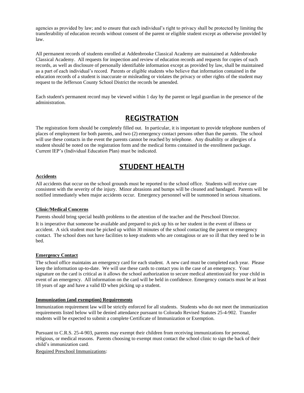agencies as provided by law; and to ensure that each individual's right to privacy shall be protected by limiting the transferability of education records without consent of the parent or eligible student except as otherwise provided by law.

All permanent records of students enrolled at Addenbrooke Classical Academy are maintained at Addenbrooke Classical Academy. All requests for inspection and review of education records and requests for copies of such records, as well as disclosure of personally identifiable information except as provided by law, shall be maintained as a part of each individual's record. Parents or eligible students who believe that information contained in the education records of a student is inaccurate or misleading or violates the privacy or other rights of the student may request to the Jefferson County School District the records be amended.

Each student's permanent record may be viewed within 1 day by the parent or legal guardian in the presence of the administration.

### REGISTRATION

The registration form should be completely filled out. In particular, it is important to provide telephone numbers of places of employment for both parents, and two (2) emergency contact persons other than the parents. The school will use these contacts in the event the parents cannot be reached by telephone. Any disability or allergies of a student should be noted on the registration form and the medical forms contained in the enrollment package. Current IEP's (Individual Education Plan) must be indicated.

## STUDENT HEALTH

### **Accidents**

All accidents that occur on the school grounds must be reported to the school office. Students will receive care consistent with the severity of the injury. Minor abrasions and bumps will be cleaned and bandaged. Parents will be notified immediately when major accidents occur. Emergency personnel will be summoned in serious situations.

#### **Clinic/Medical Concerns**

Parents should bring special health problems to the attention of the teacher and the Preschool Director.

It is imperative that someone be available and prepared to pick up his or her student in the event of illness or accident. A sick student must be picked up within 30 minutes of the school contacting the parent or emergency contact. The school does not have facilities to keep students who are contagious or are so ill that they need to be in bed.

#### **Emergency Contact**

The school office maintains an emergency card for each student. A new card must be completed each year. Please keep the information up-to-date. We will use these cards to contact you in the case of an emergency. Your signature on the card is critical as it allows the school authorization to secure medical attention/aid for your child in event of an emergency. All information on the card will be held in confidence. Emergency contacts must be at least 18 years of age and have a valid ID when picking up a student.

#### **Immunization (and exemption) Requirements**

Immunization requirement law will be strictly enforced for all students. Students who do not meet the immunization requirements listed below will be denied attendance pursuant to Colorado Revised Statutes 25-4-902. Transfer students will be expected to submit a complete Certificate of Immunization or Exemption.

Pursuant to C.R.S. 25-4-903, parents may exempt their children from receiving immunizations for personal, religious, or medical reasons. Parents choosing to exempt must contact the school clinic to sign the back of their child's immunization card.

Required Preschool Immunizations: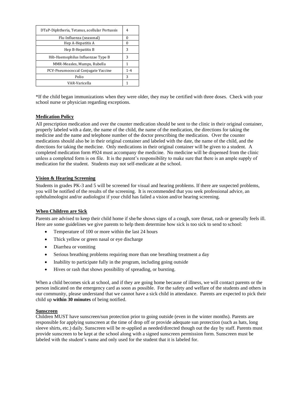| DTaP-Diphtheria, Tetanus, acellular Pertussis | 4       |
|-----------------------------------------------|---------|
| Flu-Influenza (seasonal)                      |         |
| Hep A-Hepatitis A                             |         |
| Hep B-Hepatitis B                             | 3       |
| Hib-Haemophilus Influenzae Type B             | 3       |
| MMR-Measles, Mumps, Rubella                   | 1       |
| PCV-Pneumococcal Conjugate Vaccine            | $1 - 4$ |
| Polio                                         | 3       |
| VAR-Varicella                                 | 1       |

\*If the child began immunizations when they were older, they may be certified with three doses. Check with your school nurse or physician regarding exceptions.

### **Medication Policy**

All prescription medication and over the counter medication should be sent to the clinic in their original container, properly labeled with a date, the name of the child, the name of the medication, the directions for taking the medicine and the name and telephone number of the doctor prescribing the medication. Over the counter medications should also be in their original container and labeled with the date, the name of the child, and the directions for taking the medicine. Only medications in their original container will be given to a student. A completed medication form #924 must accompany the medicine. No medicine will be dispensed from the clinic unless a completed form is on file. It is the parent's responsibility to make sure that there is an ample supply of medication for the student. Students may not self-medicate at the school.

#### **Vision & Hearing Screening**

Students in grades PK-3 and 5 will be screened for visual and hearing problems. If there are suspected problems, you will be notified of the results of the screening. It is recommended that you seek professional advice, an ophthalmologist and/or audiologist if your child has failed a vision and/or hearing screening.

#### **When Children are Sick**

Parents are advised to keep their child home if she/he shows signs of a cough, sore throat, rash or generally feels ill. Here are some guidelines we give parents to help them determine how sick is too sick to send to school:

- Temperature of 100 or more within the last 24 hours
- Thick yellow or green nasal or eye discharge
- Diarrhea or vomiting
- Serious breathing problems requiring more than one breathing treatment a day
- Inability to participate fully in the program, including going outside
- Hives or rash that shows possibility of spreading, or bursting.

When a child becomes sick at school, and if they are going home because of illness, we will contact parents or the person indicated on the emergency card as soon as possible. For the safety and welfare of the students and others in our community, please understand that we cannot have a sick child in attendance. Parents are expected to pick their child up **within 30 minutes** of being notified.

### **Sunscreen**

Children MUST have sunscreen/sun protection prior to going outside (even in the winter months). Parents are responsible for applying sunscreen at the time of drop off or provide adequate sun protection (such as hats, long sleeve shirts, etc.) daily. Sunscreen will be re-applied as needed/directed though out the day by staff. Parents must provide sunscreen to be kept at the school along with a signed sunscreen permission form. Sunscreen must be labeled with the student's name and only used for the student that it is labeled for.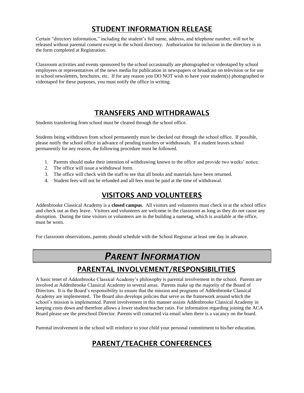## STUDENT INFORMATION RELEASE

Certain "directory information," including the student's full name, address, and telephone number, will not be released without parental consent except in the school directory. Authorization for inclusion in the directory is in the form completed at Registration.

Classroom activities and events sponsored by the school occasionally are photographed or videotaped by school employees or representatives of the news media for publication in newspapers or broadcast on television or for use in school newsletters, brochures, etc. If for any reason you DO NOT wish to have your student(s) photographed or videotaped for these purposes, you must notify the office in writing.

## TRANSFERS AND WITHDRAWALS

Students transferring from school must be cleared through the school office.

Students being withdrawn from school permanently must be checked out through the school office. If possible, please notify the school office in advance of pending transfers or withdrawals. If a student leaves school permanently for any reason, the following procedure must be followed.

- 1. Parents should make their intention of withdrawing known to the office and provide two weeks' notice.
- 2. The office will issue a withdrawal form.
- 3. The office will check with the staff to see that all books and materials have been returned.
- 4. Student fees will not be refunded and all fees must be paid at the time of withdrawal.

## VISITORS AND VOLUNTEERS

Addenbrooke Classical Academy is a **closed campus**. All visitors and volunteers must check in at the school office and check out as they leave. Visitors and volunteers are welcome in the classroom as long as they do not cause any disruption. During the time visitors or volunteers are in the building a nametag, which is available at the office, must be worn.

For classroom observations, parents should schedule with the School Registrar at least one day in advance.

## *PARENT INFORMATION*

## PARENTAL INVOLVEMENT/RESPONSIBILITIES

A basic tenet of Addenbrooke Classical Academy's philosophy is parental involvement in the school. Parents are involved at Addenbrooke Classical Academy in several areas. Parents make up the majority of the Board of Directors. It is the Board's responsibility to ensure that the mission and programs of Addenbrooke Classical Academy are implemented. The Board also develops policies that serve as the framework around which the school's mission is implemented. Parent involvement in this manner assists Addenbrooke Classical Academy in keeping costs down and therefore allows a lower student/teacher ratio. For information regarding joining the ACA Board please see the preschool Director. Parents will contacted via email when there is a vacancy on the board.

Parental involvement in the school will reinforce to your child your personal commitment to his/her education.

## PARENT/TEACHER CONFERENCES